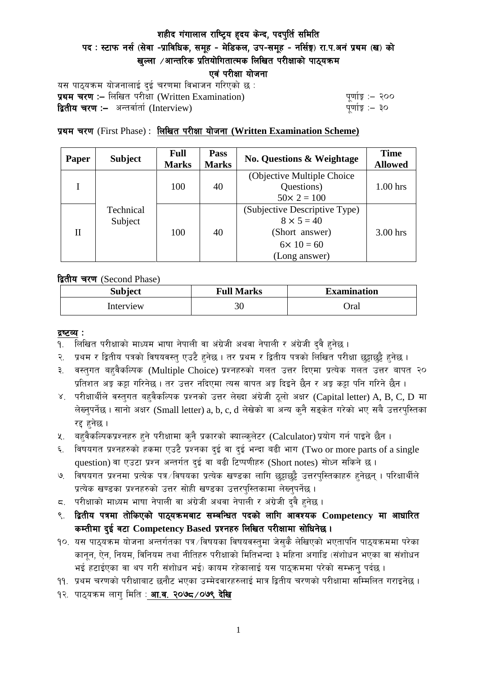# शहीद गंगालाल राष्ट्रिय हृदय केन्द, पदपुर्ति समिति पद : स्टाफ नर्स (सेवा -प्राविधिक, समूह - मेडिकल, उप-समूह - नर्सिङ्ग) रा.प.अनं प्रथम (ख) को खल्ला  $\ell$ आन्तरिक प्रतियोगितात्मक लिखित परीक्षाको पाठयक्रम एवं परीक्षा योजना

यस पाठ्यक्रम योजनालाई दुई चरणमा विभाजन गरिएको छ : प्रथम चरण :- लिखित परीक्षा (Written Examination)  $\frac{d}{dx}$  and  $\frac{d}{dx}$  and  $\frac{d}{dx}$  are  $\frac{d}{dx}$ द्वितीय चरण :– अन्तर्वार्ता (Interview) katalactic metal metal metal metal wind wind with  $\frac{1}{2}$ 

## प्रथम चरण (First Phase) : लिखित परीक्षा योजना (Written Examination Scheme)

| Paper | <b>Subject</b>       | <b>Full</b><br><b>Marks</b> | Pass<br><b>Marks</b> | <b>No. Questions &amp; Weightage</b> | <b>Time</b><br><b>Allowed</b> |
|-------|----------------------|-----------------------------|----------------------|--------------------------------------|-------------------------------|
|       | Technical<br>Subject | 100                         | 40                   | (Objective Multiple Choice)          |                               |
|       |                      |                             |                      | Questions)                           | $1.00$ hrs                    |
|       |                      |                             |                      | $50 \times 2 = 100$                  |                               |
| H     |                      | 100                         | 40                   | (Subjective Descriptive Type)        |                               |
|       |                      |                             |                      | $8 \times 5 = 40$                    |                               |
|       |                      |                             |                      | (Short answer)                       | $3.00$ hrs                    |
|       |                      |                             |                      | $6 \times 10 = 60$                   |                               |
|       |                      |                             |                      | (Long answer)                        |                               |

द्वितीय चरण (Second Phase)

| <b>Subject</b> | <b>Full Marks</b> | <b>Examination</b> |  |
|----------------|-------------------|--------------------|--|
| Interview      | 30                | Oral               |  |

#### द्रष्टव्य :

- १. लिखित परीक्षाको माध्यम भाषा नेपाली वा अंग्रेजी अथवा नेपाली र अंग्रेजी द्वै हुनेछ ।
- २. प्रथम र द्वितीय पत्रको विषयवस्त् एउटै हुनेछ । तर प्रथम र द्वितीय पत्रको लिखित परीक्षा छुट्टाछुट्टै हुनेछ ।
- ३. वस्तुगत बहुवैकल्पिक (Multiple Choice) प्रश्नहरुको गलत उत्तर दिएमा प्रत्येक गलत उत्तर बापत २० प्रतिशत अङ्ग कट्टा गरिनेछ । तर उत्तर नदिएमा त्यस बापत अङ्ग दिइने छैन र अङ्ग कट्टा पनि गरिने छैन ।
- ४. परीक्षार्थीले वस्तुगत बहुवैकल्पिक प्रश्नको उत्तर लेख्दा अंग्रेजी ठूलो अक्षर (Capital letter) A, B, C, D मा लेख्नुपर्नेछ । सानो अक्षर (Small letter) a, b, c, d लेखेको वा अन्य कुनै सड्केत गरेको भए सबै उत्तरपुस्तिका रद्द हनेछ ।
- ५. वहवैकल्पिकप्रश्नहरु हुने परीक्षामा कुनै प्रकारको क्याल्कुलेटर (Calculator) प्रयोग गर्न पाइने छैन ।
- ६. विषयगत प्रश्नहरुको हकमा एउटै प्रश्नका दुई वा दुई भन्दा बढी भाग (Two or more parts of a single question) वा एउटा प्रश्न अन्तर्गत दुई वा बढी टिप्पणीहरु (Short notes) सोध्न सकिने छ।
- ७. विषयगत प्रश्नमा प्रत्येक पत्र ∕विषयका प्रत्येक खण्डका लागि छट्टाछट्टै उत्तरपुस्तिकाहरु हुनेछन् । परिक्षार्थीले प्रत्येक खण्डका प्रश्नहरुको उत्तर सोही खण्डका उत्तरपस्तिकामा लेख्नपर्नेछ ।
- $\,$ द. परीक्षाको माध्यम भाषा नेपाली वा अंग्रेजी अथवा नेपाली र अंग्रेजी द्वै हुनेछ ।
- ९. द्वितीय पत्रमा तोकिएको पाठ्यक्रमबाट सम्बन्धित पदको लागि आवश्यक Competency मा आधारित कम्तीमा दई वटा Competency Based प्रश्नहरु लिखित परीक्षामा सोधिनेछ।
- $10.$  यस पाठ्यक्रम योजना अन्तर्गतका पत्र /विषयका विषयवस्तुमा जेसुकै लेखिएको भएतापनि पाठ्यक्रममा परेका कानून, ऐन, नियम, विनियम तथा नीतिहरु परीक्षाको मितिभन्दा ३ महिना अगाडि (संशोधन भएका वा संशोधन भई हटाईएका वा थप गरी संशोधन भई) कायम रहेकालाई यस पाठकममा परेको सम्भन्न पर्दछ ।
- ११. प्रथम चरणको परीक्षाबाट छनौट भएका उम्मेदवारहरुलाई मात्र द्वितीय चरणको परीक्षामा सम्मिलित गराइनेछ ।
- १२. पाठ्यक्रम लाग मिति : **आ.व. २०७८ /०७९ देखि**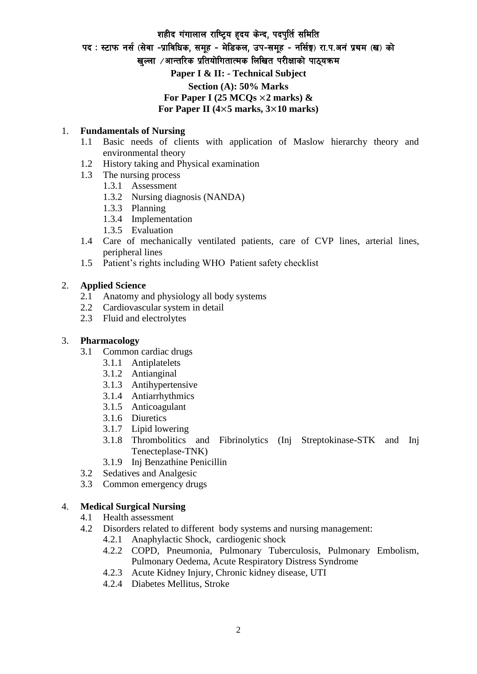# शहीद गंगालाल राष्ट्रिय हृदय केन्द, पदपुर्ति समिति पद: स्टाफ नर्स (सेवा -प्राविधिक, समूह - मेडिकल, उप-समूह - नर्सिङ्ग) रा.प.अनं प्रथम (ख) को खल्ला  $\ell$ आन्तरिक प्रतियोगितात्मक लिखित परीक्षाको पाठयक्रम **Paper I & II: - Technical Subject Section (A): 50% Marks** For Paper I (25  $MCQs \times 2$  marks)  $\&$ **For Paper II (4**×**5 marks, 3**×**10 marks)**

### 1. **Fundamentals of Nursing**

- 1.1 Basic needs of clients with application of Maslow hierarchy theory and environmental theory
- 1.2 History taking and Physical examination
- 1.3 The nursing process
	- 1.3.1 Assessment
	- 1.3.2 Nursing diagnosis (NANDA)
	- 1.3.3 Planning
	- 1.3.4 Implementation
	- 1.3.5 Evaluation
- 1.4 Care of mechanically ventilated patients, care of CVP lines, arterial lines, peripheral lines
- 1.5 Patient's rights including WHO Patient safety checklist

### 2. **Applied Science**

- 2.1 Anatomy and physiology all body systems
- 2.2 Cardiovascular system in detail
- 2.3 Fluid and electrolytes

#### 3. **Pharmacology**

- 3.1 Common cardiac drugs
	- 3.1.1 Antiplatelets
	- 3.1.2 Antianginal
	- 3.1.3 Antihypertensive
	- 3.1.4 Antiarrhythmics
	- 3.1.5 Anticoagulant
	- 3.1.6 Diuretics
	- 3.1.7 Lipid lowering
	- 3.1.8 Thrombolitics and Fibrinolytics (Inj Streptokinase-STK and Inj Tenecteplase-TNK)
	- 3.1.9 Inj Benzathine Penicillin
- 3.2 Sedatives and Analgesic
- 3.3 Common emergency drugs

### 4. **Medical Surgical Nursing**

- 4.1 Health assessment
- 4.2 Disorders related to different body systems and nursing management:
	- 4.2.1 Anaphylactic Shock, cardiogenic shock
	- 4.2.2 COPD, Pneumonia, Pulmonary Tuberculosis, Pulmonary Embolism, Pulmonary Oedema, Acute Respiratory Distress Syndrome
	- 4.2.3 Acute Kidney Injury, Chronic kidney disease, UTI
	- 4.2.4 Diabetes Mellitus, Stroke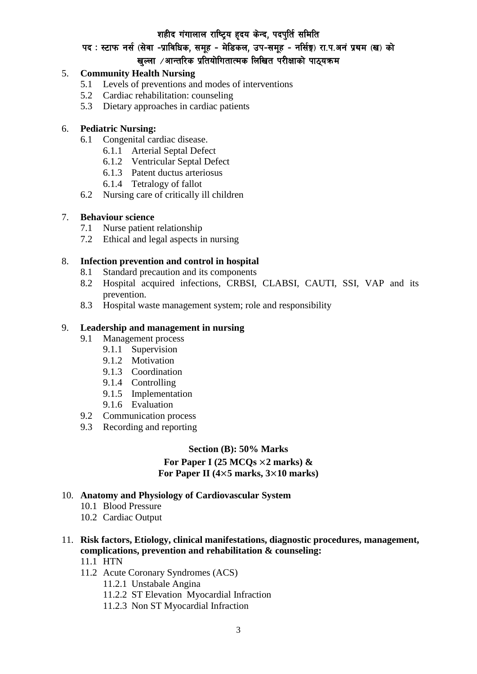## शहीद गंगालाल राष्ट्रिय हृदय केन्द, पदपुर्ति समिति

## पद : स्टाफ नर्स (सेवा -प्राविधिक, समूह - मेडिकल, उप-समूह - नर्सिङ्ग) रा.प.अनं प्रथम (ख) को खल्ला  $\ell$ आन्तरिक प्रतियोगितात्मक लिखित परीक्षाको पाठयक्रम

## 5. **Community Health Nursing**

- 5.1 Levels of preventions and modes of interventions
- 5.2 Cardiac rehabilitation: counseling
- 5.3 Dietary approaches in cardiac patients

## 6. **Pediatric Nursing:**

- 6.1 Congenital cardiac disease.
	- 6.1.1 Arterial Septal Defect
	- 6.1.2 Ventricular Septal Defect
	- 6.1.3 Patent ductus arteriosus
	- 6.1.4 Tetralogy of fallot
- 6.2 Nursing care of critically ill children

### 7. **Behaviour science**

- 7.1 Nurse patient relationship
- 7.2 Ethical and legal aspects in nursing

### 8. **Infection prevention and control in hospital**

- 8.1 Standard precaution and its components
- 8.2 Hospital acquired infections, CRBSI, CLABSI, CAUTI, SSI, VAP and its prevention.
- 8.3 Hospital waste management system; role and responsibility

### 9. **Leadership and management in nursing**

- 9.1 Management process
	- 9.1.1 Supervision
	- 9.1.2 Motivation
	- 9.1.3 Coordination
	- 9.1.4 Controlling
	- 9.1.5 Implementation
	- 9.1.6 Evaluation
- 9.2 Communication process
- 9.3 Recording and reporting

## **Section (B): 50% Marks For Paper I (25 MCQs** ×**2 marks) & For Paper II (4**×**5 marks, 3**×**10 marks)**

### 10. **Anatomy and Physiology of Cardiovascular System**

- 10.1 Blood Pressure
- 10.2 Cardiac Output
- 11. **Risk factors, Etiology, clinical manifestations, diagnostic procedures, management, complications, prevention and rehabilitation & counseling:**
	- 11.1 HTN
	- 11.2 Acute Coronary Syndromes (ACS)
		- 11.2.1 Unstabale Angina
		- 11.2.2 ST Elevation Myocardial Infraction
		- 11.2.3 Non ST Myocardial Infraction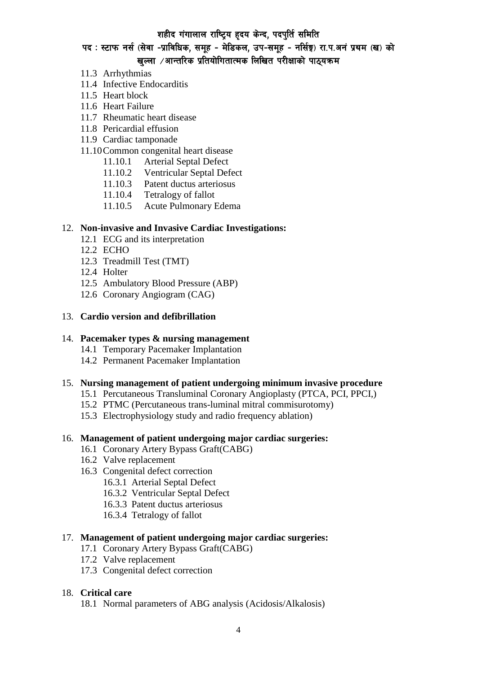## शहीद गंगालाल राष्ट्रिय हृदय केन्द, पदपुर्ति समिति

पद : स्टाफ नर्स (सेवा -प्राविधिक, समूह - मेडिकल, उप-समूह - नर्सिङ्ग) रा.प.अनं प्रथम (ख) को

# खल्ला  $\ell$ आन्तरिक प्रतियोगितात्मक लिखित परीक्षाको पाठ्यक्रम

- 11.3 Arrhythmias
- 11.4 Infective Endocarditis
- 11.5 Heart block
- 11.6 Heart Failure
- 11.7 Rheumatic heart disease
- 11.8 Pericardial effusion
- 11.9 Cardiac tamponade

### 11.10Common congenital heart disease

- 11.10.1 Arterial Septal Defect
- 11.10.2 Ventricular Septal Defect
- 11.10.3 Patent ductus arteriosus
- 11.10.4 Tetralogy of fallot
- 11.10.5 Acute Pulmonary Edema

### 12. **Non-invasive and Invasive Cardiac Investigations:**

- 12.1 ECG and its interpretation
- 12.2 ECHO
- 12.3 Treadmill Test (TMT)
- 12.4 Holter
- 12.5 Ambulatory Blood Pressure (ABP)
- 12.6 Coronary Angiogram (CAG)

### 13. **Cardio version and defibrillation**

### 14. **Pacemaker types & nursing management**

- 14.1 Temporary Pacemaker Implantation
- 14.2 Permanent Pacemaker Implantation

#### 15. **Nursing management of patient undergoing minimum invasive procedure**

- 15.1 Percutaneous Transluminal Coronary Angioplasty (PTCA, PCI, PPCI,)
- 15.2 PTMC (Percutaneous trans-luminal mitral commisurotomy)
- 15.3 Electrophysiology study and radio frequency ablation)

#### 16. **Management of patient undergoing major cardiac surgeries:**

- 16.1 Coronary Artery Bypass Graft(CABG)
- 16.2 Valve replacement
- 16.3 Congenital defect correction
	- 16.3.1 Arterial Septal Defect
	- 16.3.2 Ventricular Septal Defect
	- 16.3.3 Patent ductus arteriosus
	- 16.3.4 Tetralogy of fallot

#### 17. **Management of patient undergoing major cardiac surgeries:**

- 17.1 Coronary Artery Bypass Graft(CABG)
- 17.2 Valve replacement
- 17.3 Congenital defect correction

#### 18. **Critical care**

18.1 Normal parameters of ABG analysis (Acidosis/Alkalosis)